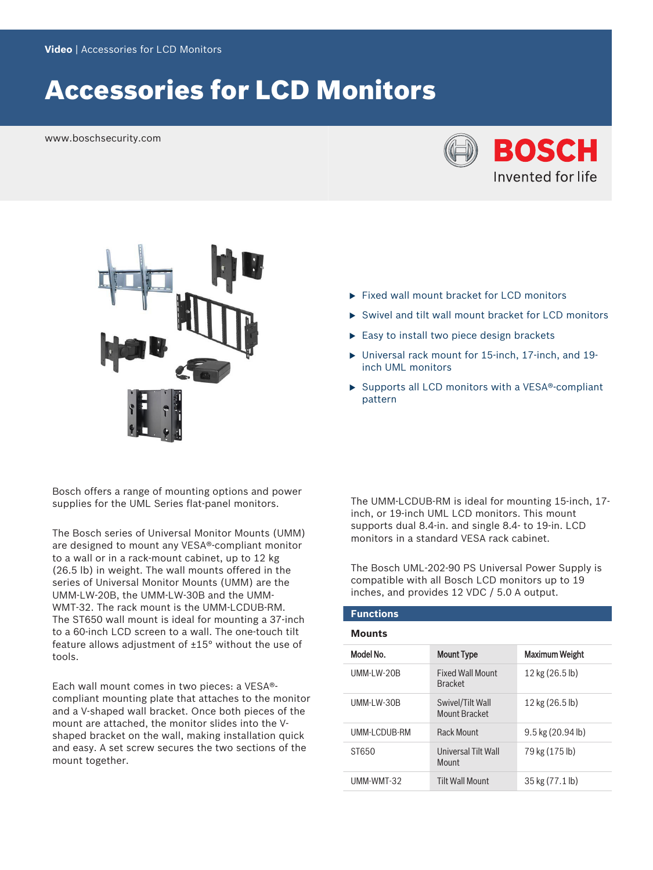# Accessories for LCD Monitors

www.boschsecurity.com





Bosch offers a range of mounting options and power supplies for the UML Series flat-panel monitors.

The Bosch series of Universal Monitor Mounts (UMM) are designed to mount any VESA®-compliant monitor to a wall or in a rack-mount cabinet, up to 12 kg (26.5 lb) in weight. The wall mounts offered in the series of Universal Monitor Mounts (UMM) are the UMM-LW-20B, the UMM-LW-30B and the UMM-WMT-32. The rack mount is the UMM-LCDUB-RM. The ST650 wall mount is ideal for mounting a 37-inch to a 60-inch LCD screen to a wall. The one-touch tilt feature allows adjustment of ±15° without the use of tools.

Each wall mount comes in two pieces: a VESA® compliant mounting plate that attaches to the monitor and a V-shaped wall bracket. Once both pieces of the mount are attached, the monitor slides into the Vshaped bracket on the wall, making installation quick and easy. A set screw secures the two sections of the mount together.

- $\blacktriangleright$  Fixed wall mount bracket for LCD monitors
- $\triangleright$  Swivel and tilt wall mount bracket for LCD monitors
- $\blacktriangleright$  Easy to install two piece design brackets
- $\triangleright$  Universal rack mount for 15-inch, 17-inch, and 19inch UML monitors
- $\triangleright$  Supports all LCD monitors with a VESA®-compliant pattern

The UMM-LCDUB-RM is ideal for mounting 15-inch, 17 inch, or 19-inch UML LCD monitors. This mount supports dual 8.4-in. and single 8.4- to 19-in. LCD monitors in a standard VESA rack cabinet.

The Bosch UML-202-90 PS Universal Power Supply is compatible with all Bosch LCD monitors up to 19 inches, and provides 12 VDC / 5.0 A output.

# **Functions Mounts**

| Model No.    | <b>Mount Type</b>                         | Maximum Weight      |
|--------------|-------------------------------------------|---------------------|
| UMM-LW-20B   | <b>Fixed Wall Mount</b><br><b>Bracket</b> | 12 kg (26.5 lb)     |
| UMM-LW-30B   | Swivel/Tilt Wall<br>Mount Bracket         | 12 kg (26.5 lb)     |
| UMM-LCDUB-RM | <b>Rack Mount</b>                         | $9.5$ kg (20.94 lb) |
| ST650        | Universal Tilt Wall<br>Mount              | 79 kg (175 lb)      |
| UMM-WMT-32   | <b>Tilt Wall Mount</b>                    | 35 kg (77.1 lb)     |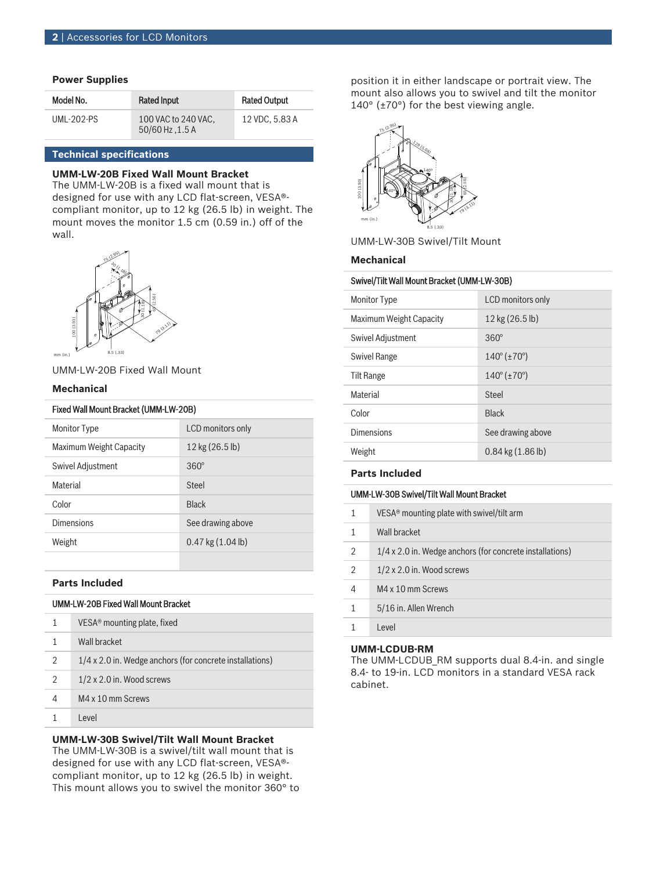# **Power Supplies**

| Model No.  | <b>Rated Input</b>                     | <b>Rated Output</b> |
|------------|----------------------------------------|---------------------|
| UMI-202-PS | 100 VAC to 240 VAC.<br>50/60 Hz, 1.5 A | 12 VDC, 5.83 A      |

# **Technical specifications**

# **UMM-LW-20B Fixed Wall Mount Bracket**

The UMM-LW-20B is a fixed wall mount that is designed for use with any LCD flat-screen, VESA® compliant monitor, up to 12 kg (26.5 lb) in weight. The mount moves the monitor 1.5 cm (0.59 in.) off of the wall.



# UMM-LW-20B Fixed Wall Mount

#### **Mechanical**

| <b>Monitor Type</b>     | LCD monitors only           |
|-------------------------|-----------------------------|
| Maximum Weight Capacity | $12$ kg $(26.5 \text{ lb})$ |
| Swivel Adjustment       | $360^\circ$                 |
| <b>Material</b>         | Steel                       |
| Color                   | <b>Black</b>                |
| Dimensions              | See drawing above           |
| Weight                  | $0.47$ kg $(1.04$ lb)       |
|                         |                             |

#### **Parts Included**

# UMM-LW-20B Fixed Wall Mount Bracket

|   | $VESA®$ mounting plate, fixed                            |
|---|----------------------------------------------------------|
|   | Wall bracket                                             |
| 2 | 1/4 x 2.0 in. Wedge anchors (for concrete installations) |
| 2 | $1/2 \times 2.0$ in. Wood screws                         |
| 4 | M4 x 10 mm Screws                                        |
|   | l evel                                                   |

# **UMM-LW-30B Swivel/Tilt Wall Mount Bracket**

The UMM-LW-30B is a swivel/tilt wall mount that is designed for use with any LCD flat-screen, VESA® compliant monitor, up to 12 kg (26.5 lb) in weight. This mount allows you to swivel the monitor 360° to

position it in either landscape or portrait view. The mount also allows you to swivel and tilt the monitor 140° (±70°) for the best viewing angle.



UMM-LW-30B Swivel/Tilt Mount

# **Mechanical**

#### Swivel/Tilt Wall Mount Bracket (UMM-LW-30B)

| <b>Monitor Type</b>     | LCD monitors only                  |
|-------------------------|------------------------------------|
| Maximum Weight Capacity | 12 kg (26.5 lb)                    |
| Swivel Adjustment       | $360^\circ$                        |
| Swivel Range            | $140^{\circ}$ ( $\pm 70^{\circ}$ ) |
| Tilt Range              | $140^{\circ}$ ( $\pm 70^{\circ}$ ) |
| Material                | Steel                              |
| Color                   | <b>Black</b>                       |
| <b>Dimensions</b>       | See drawing above                  |
| Weight                  | $0.84$ kg $(1.86$ lb)              |

## **Parts Included**

# UMM-LW-30B Swivel/Tilt Wall Mount Bracket

| 1              | VESA <sup>®</sup> mounting plate with swivel/tilt arm    |
|----------------|----------------------------------------------------------|
|                | Wall bracket                                             |
| $\mathfrak{D}$ | 1/4 x 2.0 in. Wedge anchors (for concrete installations) |
| $\mathfrak{D}$ | $1/2 \times 2.0$ in. Wood screws                         |
| 4              | M4 x 10 mm Screws                                        |
| 1              | 5/16 in. Allen Wrench                                    |
|                | Level                                                    |

#### **UMM-LCDUB-RM**

The UMM-LCDUB\_RM supports dual 8.4-in. and single 8.4- to 19-in. LCD monitors in a standard VESA rack cabinet.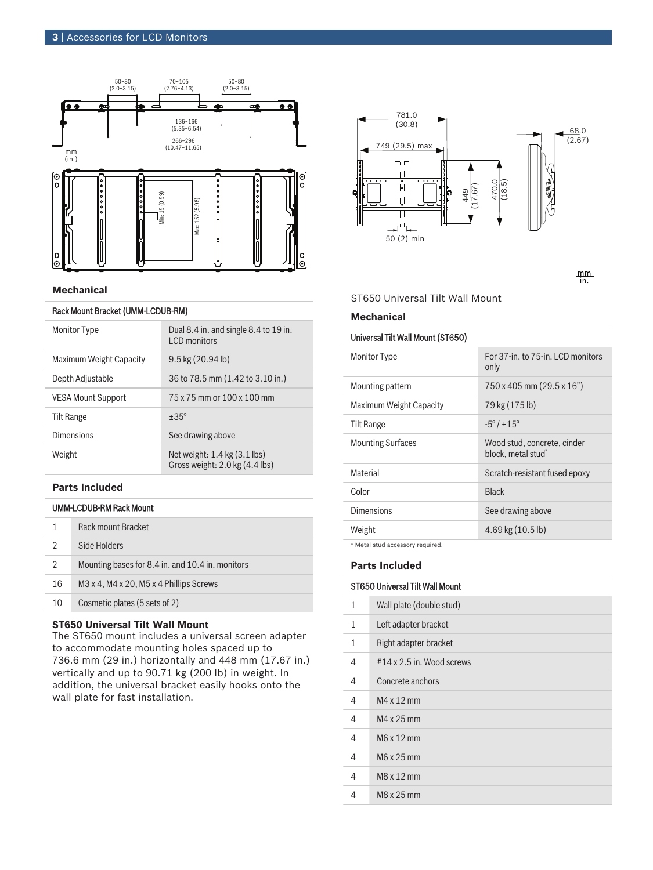

#### **Mechanical**

# Rack Mount Bracket (UMM-LCDUB-RM)

| <b>Monitor Type</b>       | Dual 8.4 in. and single 8.4 to 19 in.<br>LCD monitors              |
|---------------------------|--------------------------------------------------------------------|
| Maximum Weight Capacity   | $9.5$ kg $(20.94$ lb)                                              |
| Depth Adjustable          | 36 to 78.5 mm (1.42 to 3.10 in.)                                   |
| <b>VESA Mount Support</b> | 75 x 75 mm or 100 x 100 mm                                         |
| Tilt Range                | $+35^\circ$                                                        |
| <b>Dimensions</b>         | See drawing above                                                  |
| Weight                    | Net weight: $1.4$ kg $(3.1$ lbs)<br>Gross weight: 2.0 kg (4.4 lbs) |

# **Parts Included**

# UMM-LCDUB-RM Rack Mount

| Side Holders<br>Mounting bases for 8.4 in. and 10.4 in. monitors<br>$\mathfrak{D}$<br>M <sub>3</sub> x 4, M <sub>4</sub> x 20, M <sub>5</sub> x 4 Phillips Screws<br>16 | Rack mount Bracket |
|-------------------------------------------------------------------------------------------------------------------------------------------------------------------------|--------------------|
|                                                                                                                                                                         |                    |
|                                                                                                                                                                         |                    |
|                                                                                                                                                                         |                    |
| Cosmetic plates (5 sets of 2)<br>10                                                                                                                                     |                    |

# **ST650 Universal Tilt Wall Mount**

The ST650 mount includes a universal screen adapter to accommodate mounting holes spaced up to 736.6 mm (29 in.) horizontally and 448 mm (17.67 in.) vertically and up to 90.71 kg (200 lb) in weight. In addition, the universal bracket easily hooks onto the



 $\frac{mm}{in}$ .

ST650 Universal Tilt Wall Mount

#### **Mechanical**

## Universal Tilt Wall Mount (ST650)

| <b>Monitor Type</b>      | For 37-in, to 75-in, LCD monitors<br>only                     |
|--------------------------|---------------------------------------------------------------|
| Mounting pattern         | 750 x 405 mm (29.5 x 16")                                     |
| Maximum Weight Capacity  | 79 kg (175 lb)                                                |
| Tilt Range               | $-5^{\circ}/+15^{\circ}$                                      |
| <b>Mounting Surfaces</b> | Wood stud, concrete, cinder<br>block, metal stud <sup>*</sup> |
| <b>Material</b>          | Scratch-resistant fused epoxy                                 |
| Color                    | <b>Black</b>                                                  |
| Dimensions               | See drawing above                                             |
| Weight                   | $4.69$ kg $(10.5 \text{ lb})$                                 |
|                          |                                                               |

\* Metal stud accessory required.

# **Parts Included**

# ST650 Universal Tilt Wall Mount

| 1 | Wall plate (double stud)  |
|---|---------------------------|
| 1 | Left adapter bracket      |
| 1 | Right adapter bracket     |
| 4 | #14 x 2.5 in. Wood screws |
| 4 | Concrete anchors          |
| 4 | M4 x 12 mm                |
| 4 | M4 x 25 mm                |
| 4 | M6 x 12 mm                |
| 4 | M6 x 25 mm                |
| 4 | $M8x12$ mm                |
| 4 | M8 x 25 mm                |
|   |                           |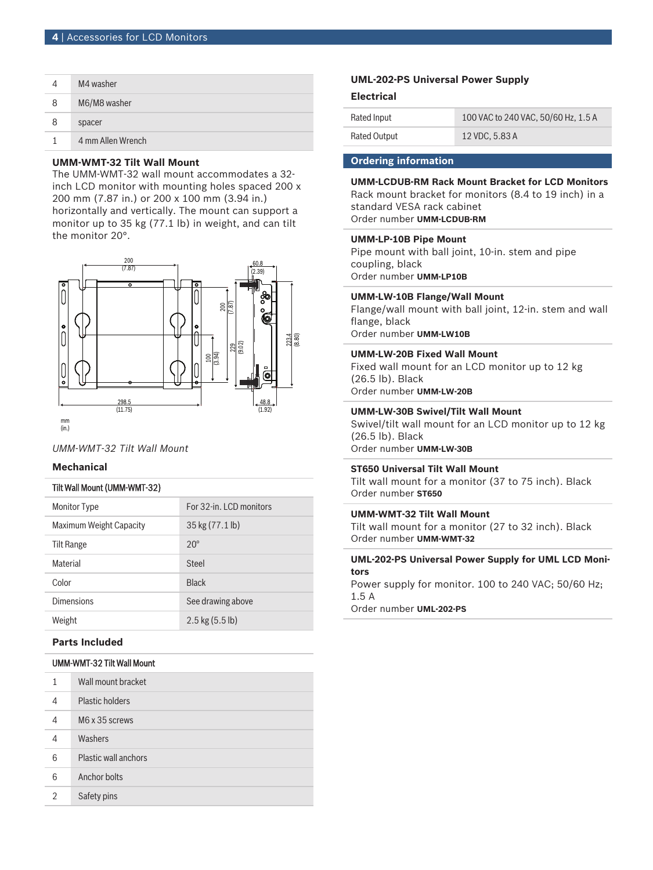|   | M4 washer         |
|---|-------------------|
| 8 | M6/M8 washer      |
| 8 | spacer            |
|   | 4 mm Allen Wrench |

# **UMM-WMT-32 Tilt Wall Mount**

The UMM-WMT-32 wall mount accommodates a 32 inch LCD monitor with mounting holes spaced 200 x 200 mm (7.87 in.) or 200 x 100 mm (3.94 in.) horizontally and vertically. The mount can support a monitor up to 35 kg (77.1 lb) in weight, and can tilt the monitor 20°.



*UMM-WMT-32 Tilt Wall Mount*

# **Mechanical**

# Tilt Wall Mount (UMM-WMT-32)

| <b>Monitor Type</b>     | For 32-in. LCD monitors |
|-------------------------|-------------------------|
| Maximum Weight Capacity | 35 kg (77.1 lb)         |
| <b>Tilt Range</b>       | $20^{\circ}$            |
| <b>Material</b>         | Steel                   |
| Color                   | <b>Black</b>            |
| <b>Dimensions</b>       | See drawing above       |
| Weight                  | $2.5$ kg $(5.5$ lb)     |

# **Parts Included**

# UMM-WMT-32 Tilt Wall Mount

| 1 | Wall mount bracket          |
|---|-----------------------------|
| 4 | <b>Plastic holders</b>      |
| 4 | M6 x 35 screws              |
| 4 | Washers                     |
| 6 | <b>Plastic wall anchors</b> |
| 6 | Anchor bolts                |
| 2 | Safety pins                 |

# **UML-202-PS Universal Power Supply**

#### **Electrical**

| Rated Input         | 100 VAC to 240 VAC, 50/60 Hz, 1.5 A |
|---------------------|-------------------------------------|
| <b>Rated Output</b> | 12 VDC, 5.83 A                      |

# **Ordering information**

# **UMM-LCDUB-RM Rack Mount Bracket for LCD Monitors**

Rack mount bracket for monitors (8.4 to 19 inch) in a standard VESA rack cabinet

Order number **UMM-LCDUB-RM**

# **UMM-LP-10B Pipe Mount**

Pipe mount with ball joint, 10-in. stem and pipe coupling, black Order number **UMM-LP10B**

### **UMM-LW-10B Flange/Wall Mount**

Flange/wall mount with ball joint, 12-in. stem and wall flange, black Order number **UMM-LW10B**

#### **UMM-LW-20B Fixed Wall Mount**

Fixed wall mount for an LCD monitor up to 12 kg (26.5 lb). Black Order number **UMM-LW-20B**

#### **UMM-LW-30B Swivel/Tilt Wall Mount**

Swivel/tilt wall mount for an LCD monitor up to 12 kg (26.5 lb). Black Order number **UMM-LW-30B**

#### **ST650 Universal Tilt Wall Mount**

Tilt wall mount for a monitor (37 to 75 inch). Black Order number **ST650**

# **UMM-WMT-32 Tilt Wall Mount**

Tilt wall mount for a monitor (27 to 32 inch). Black Order number **UMM-WMT-32**

#### **UML-202-PS Universal Power Supply for UML LCD Monitors**

Power supply for monitor. 100 to 240 VAC; 50/60 Hz;  $1.5A$ 

Order number **UML-202-PS**